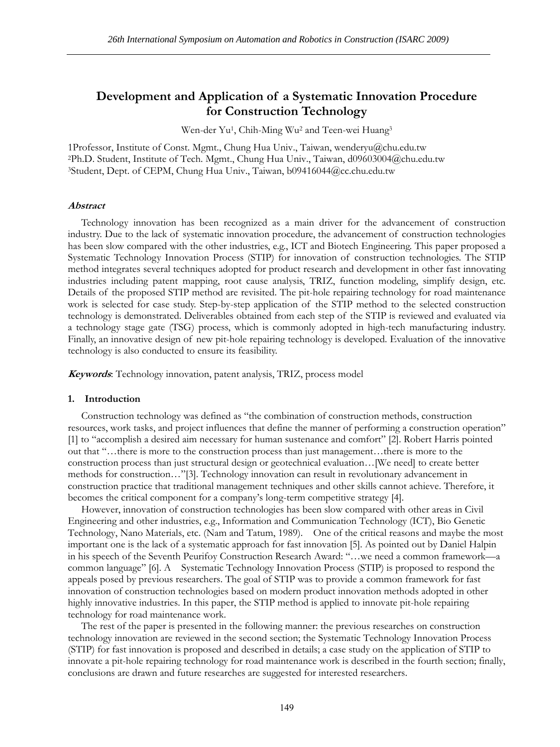# **Development and Application of a Systematic Innovation Procedure for Construction Technology**

Wen-der Yu1, Chih-Ming Wu2 and Teen-wei Huang3

1Professor, Institute of Const. Mgmt., Chung Hua Univ., Taiwan, wenderyu@chu.edu.tw 2Ph.D. Student, Institute of Tech. Mgmt., Chung Hua Univ., Taiwan, d09603004@chu.edu.tw 3Student, Dept. of CEPM, Chung Hua Univ., Taiwan, b09416044@cc.chu.edu.tw

#### **Abstract**

Technology innovation has been recognized as a main driver for the advancement of construction industry. Due to the lack of systematic innovation procedure, the advancement of construction technologies has been slow compared with the other industries, e.g., ICT and Biotech Engineering. This paper proposed a Systematic Technology Innovation Process (STIP) for innovation of construction technologies. The STIP method integrates several techniques adopted for product research and development in other fast innovating industries including patent mapping, root cause analysis, TRIZ, function modeling, simplify design, etc. Details of the proposed STIP method are revisited. The pit-hole repairing technology for road maintenance work is selected for case study. Step-by-step application of the STIP method to the selected construction technology is demonstrated. Deliverables obtained from each step of the STIP is reviewed and evaluated via a technology stage gate (TSG) process, which is commonly adopted in high-tech manufacturing industry. Finally, an innovative design of new pit-hole repairing technology is developed. Evaluation of the innovative technology is also conducted to ensure its feasibility.

**Keywords**: Technology innovation, patent analysis, TRIZ, process model

### **1. Introduction**

Construction technology was defined as "the combination of construction methods, construction resources, work tasks, and project influences that define the manner of performing a construction operation" [1] to "accomplish a desired aim necessary for human sustenance and comfort" [2]. Robert Harris pointed out that "…there is more to the construction process than just management…there is more to the construction process than just structural design or geotechnical evaluation…[We need] to create better methods for construction…"[3]. Technology innovation can result in revolutionary advancement in construction practice that traditional management techniques and other skills cannot achieve. Therefore, it becomes the critical component for a company's long-term competitive strategy [4].

However, innovation of construction technologies has been slow compared with other areas in Civil Engineering and other industries, e.g., Information and Communication Technology (ICT), Bio Genetic Technology, Nano Materials, etc. (Nam and Tatum, 1989). One of the critical reasons and maybe the most important one is the lack of a systematic approach for fast innovation [5]. As pointed out by Daniel Halpin in his speech of the Seventh Peurifoy Construction Research Award: "…we need a common framework—a common language" [6]. A Systematic Technology Innovation Process (STIP) is proposed to respond the appeals posed by previous researchers. The goal of STIP was to provide a common framework for fast innovation of construction technologies based on modern product innovation methods adopted in other highly innovative industries. In this paper, the STIP method is applied to innovate pit-hole repairing technology for road maintenance work.

The rest of the paper is presented in the following manner: the previous researches on construction technology innovation are reviewed in the second section; the Systematic Technology Innovation Process (STIP) for fast innovation is proposed and described in details; a case study on the application of STIP to innovate a pit-hole repairing technology for road maintenance work is described in the fourth section; finally, conclusions are drawn and future researches are suggested for interested researchers.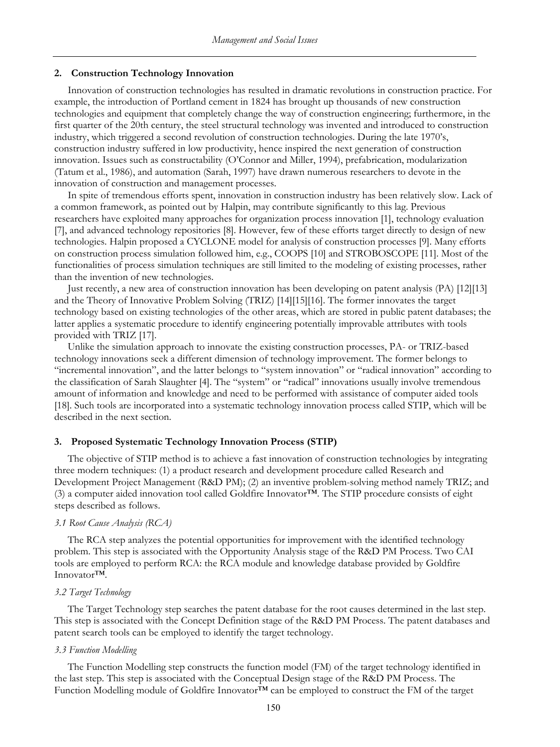# **2. Construction Technology Innovation**

Innovation of construction technologies has resulted in dramatic revolutions in construction practice. For example, the introduction of Portland cement in 1824 has brought up thousands of new construction technologies and equipment that completely change the way of construction engineering; furthermore, in the first quarter of the 20th century, the steel structural technology was invented and introduced to construction industry, which triggered a second revolution of construction technologies. During the late 1970's, construction industry suffered in low productivity, hence inspired the next generation of construction innovation. Issues such as constructability (O'Connor and Miller, 1994), prefabrication, modularization (Tatum et al., 1986), and automation (Sarah, 1997) have drawn numerous researchers to devote in the innovation of construction and management processes.

In spite of tremendous efforts spent, innovation in construction industry has been relatively slow. Lack of a common framework, as pointed out by Halpin, may contribute significantly to this lag. Previous researchers have exploited many approaches for organization process innovation [1], technology evaluation [7], and advanced technology repositories [8]. However, few of these efforts target directly to design of new technologies. Halpin proposed a CYCLONE model for analysis of construction processes [9]. Many efforts on construction process simulation followed him, e.g., COOPS [10] and STROBOSCOPE [11]. Most of the functionalities of process simulation techniques are still limited to the modeling of existing processes, rather than the invention of new technologies.

Just recently, a new area of construction innovation has been developing on patent analysis (PA) [12][13] and the Theory of Innovative Problem Solving (TRIZ) [14][15][16]. The former innovates the target technology based on existing technologies of the other areas, which are stored in public patent databases; the latter applies a systematic procedure to identify engineering potentially improvable attributes with tools provided with TRIZ [17].

Unlike the simulation approach to innovate the existing construction processes, PA- or TRIZ-based technology innovations seek a different dimension of technology improvement. The former belongs to "incremental innovation", and the latter belongs to "system innovation" or "radical innovation" according to the classification of Sarah Slaughter [4]. The "system" or "radical" innovations usually involve tremendous amount of information and knowledge and need to be performed with assistance of computer aided tools [18]. Such tools are incorporated into a systematic technology innovation process called STIP, which will be described in the next section.

# **3. Proposed Systematic Technology Innovation Process (STIP)**

The objective of STIP method is to achieve a fast innovation of construction technologies by integrating three modern techniques: (1) a product research and development procedure called Research and Development Project Management (R&D PM); (2) an inventive problem-solving method namely TRIZ; and (3) a computer aided innovation tool called Goldfire Innovator™. The STIP procedure consists of eight steps described as follows.

### *3.1 Root Cause Analysis (RCA)*

The RCA step analyzes the potential opportunities for improvement with the identified technology problem. This step is associated with the Opportunity Analysis stage of the R&D PM Process. Two CAI tools are employed to perform RCA: the RCA module and knowledge database provided by Goldfire Innovator™.

#### *3.2 Target Technology*

The Target Technology step searches the patent database for the root causes determined in the last step. This step is associated with the Concept Definition stage of the R&D PM Process. The patent databases and patent search tools can be employed to identify the target technology.

#### *3.3 Function Modelling*

The Function Modelling step constructs the function model (FM) of the target technology identified in the last step. This step is associated with the Conceptual Design stage of the R&D PM Process. The Function Modelling module of Goldfire Innovator™ can be employed to construct the FM of the target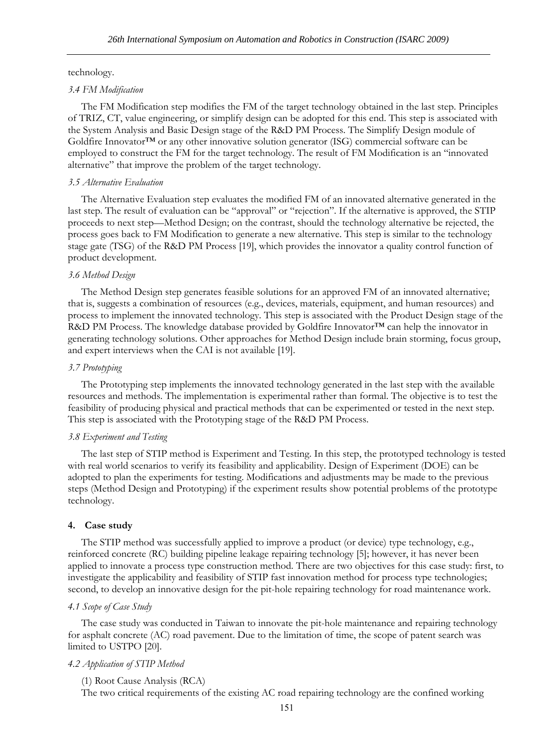technology.

#### *3.4 FM Modification*

The FM Modification step modifies the FM of the target technology obtained in the last step. Principles of TRIZ, CT, value engineering, or simplify design can be adopted for this end. This step is associated with the System Analysis and Basic Design stage of the R&D PM Process. The Simplify Design module of Goldfire Innovator™ or any other innovative solution generator (ISG) commercial software can be employed to construct the FM for the target technology. The result of FM Modification is an "innovated alternative" that improve the problem of the target technology.

# *3.5 Alternative Evaluation*

The Alternative Evaluation step evaluates the modified FM of an innovated alternative generated in the last step. The result of evaluation can be "approval" or "rejection". If the alternative is approved, the STIP proceeds to next step—Method Design; on the contrast, should the technology alternative be rejected, the process goes back to FM Modification to generate a new alternative. This step is similar to the technology stage gate (TSG) of the R&D PM Process [19], which provides the innovator a quality control function of product development.

# *3.6 Method Design*

The Method Design step generates feasible solutions for an approved FM of an innovated alternative; that is, suggests a combination of resources (e.g., devices, materials, equipment, and human resources) and process to implement the innovated technology. This step is associated with the Product Design stage of the R&D PM Process. The knowledge database provided by Goldfire Innovator™ can help the innovator in generating technology solutions. Other approaches for Method Design include brain storming, focus group, and expert interviews when the CAI is not available [19].

# *3.7 Prototyping*

The Prototyping step implements the innovated technology generated in the last step with the available resources and methods. The implementation is experimental rather than formal. The objective is to test the feasibility of producing physical and practical methods that can be experimented or tested in the next step. This step is associated with the Prototyping stage of the R&D PM Process.

#### *3.8 Experiment and Testing*

The last step of STIP method is Experiment and Testing. In this step, the prototyped technology is tested with real world scenarios to verify its feasibility and applicability. Design of Experiment (DOE) can be adopted to plan the experiments for testing. Modifications and adjustments may be made to the previous steps (Method Design and Prototyping) if the experiment results show potential problems of the prototype technology.

#### **4. Case study**

The STIP method was successfully applied to improve a product (or device) type technology, e.g., reinforced concrete (RC) building pipeline leakage repairing technology [5]; however, it has never been applied to innovate a process type construction method. There are two objectives for this case study: first, to investigate the applicability and feasibility of STIP fast innovation method for process type technologies; second, to develop an innovative design for the pit-hole repairing technology for road maintenance work.

# *4.1 Scope of Case Study*

The case study was conducted in Taiwan to innovate the pit-hole maintenance and repairing technology for asphalt concrete (AC) road pavement. Due to the limitation of time, the scope of patent search was limited to USTPO [20].

# *4.2 Application of STIP Method*

# (1) Root Cause Analysis (RCA)

The two critical requirements of the existing AC road repairing technology are the confined working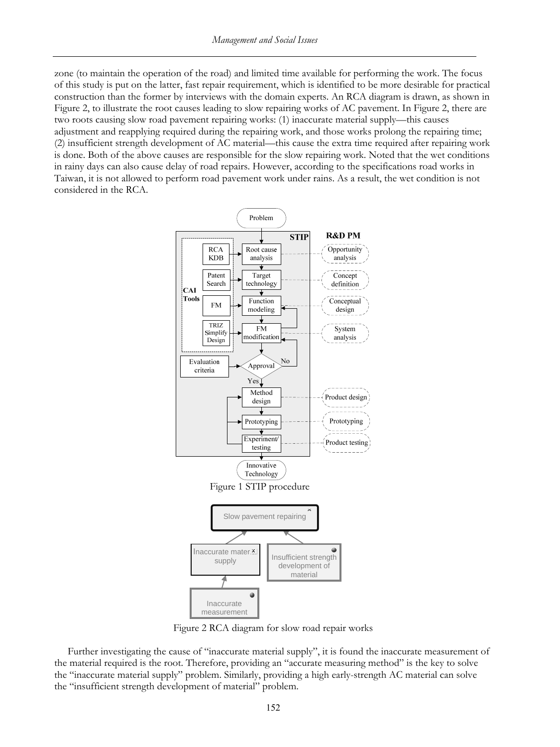zone (to maintain the operation of the road) and limited time available for performing the work. The focus of this study is put on the latter, fast repair requirement, which is identified to be more desirable for practical construction than the former by interviews with the domain experts. An RCA diagram is drawn, as shown in Figure 2, to illustrate the root causes leading to slow repairing works of AC pavement. In Figure 2, there are two roots causing slow road pavement repairing works: (1) inaccurate material supply—this causes adjustment and reapplying required during the repairing work, and those works prolong the repairing time; (2) insufficient strength development of AC material—this cause the extra time required after repairing work is done. Both of the above causes are responsible for the slow repairing work. Noted that the wet conditions in rainy days can also cause delay of road repairs. However, according to the specifications road works in Taiwan, it is not allowed to perform road pavement work under rains. As a result, the wet condition is not considered in the RCA.



Figure 2 RCA diagram for slow road repair works

Further investigating the cause of "inaccurate material supply", it is found the inaccurate measurement of the material required is the root. Therefore, providing an "accurate measuring method" is the key to solve the "inaccurate material supply" problem. Similarly, providing a high early-strength AC material can solve the "insufficient strength development of material" problem.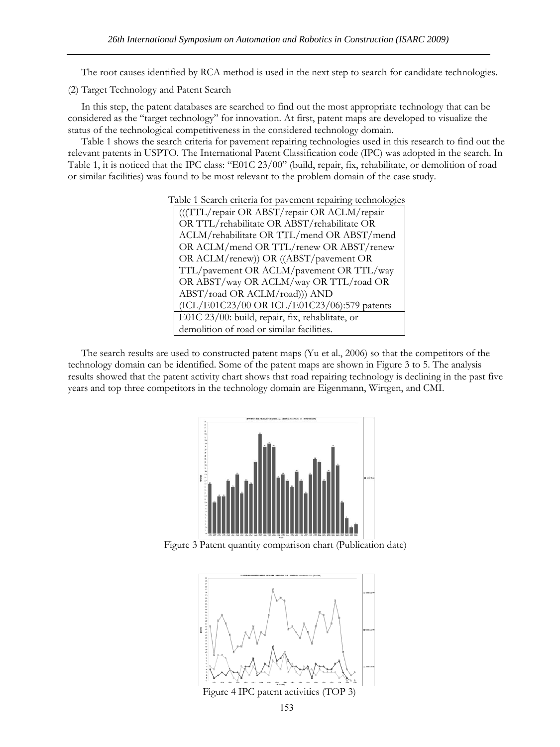The root causes identified by RCA method is used in the next step to search for candidate technologies.

(2) Target Technology and Patent Search

In this step, the patent databases are searched to find out the most appropriate technology that can be considered as the "target technology" for innovation. At first, patent maps are developed to visualize the status of the technological competitiveness in the considered technology domain.

Table 1 shows the search criteria for pavement repairing technologies used in this research to find out the relevant patents in USPTO. The International Patent Classification code (IPC) was adopted in the search. In Table 1, it is noticed that the IPC class: "E01C 23/00" (build, repair, fix, rehabilitate, or demolition of road or similar facilities) was found to be most relevant to the problem domain of the case study.

> Table 1 Search criteria for pavement repairing technologies (((TTL/repair OR ABST/repair OR ACLM/repair OR TTL/rehabilitate OR ABST/rehabilitate OR ACLM/rehabilitate OR TTL/mend OR ABST/mend OR ACLM/mend OR TTL/renew OR ABST/renew OR ACLM/renew)) OR ((ABST/pavement OR TTL/pavement OR ACLM/pavement OR TTL/way OR ABST/way OR ACLM/way OR TTL/road OR ABST/road OR ACLM/road))) AND (ICL/E01C23/00 OR ICL/E01C23/06):579 patents E01C 23/00: build, repair, fix, rehablitate, or demolition of road or similar facilities.

The search results are used to constructed patent maps (Yu et al., 2006) so that the competitors of the technology domain can be identified. Some of the patent maps are shown in Figure 3 to 5. The analysis results showed that the patent activity chart shows that road repairing technology is declining in the past five years and top three competitors in the technology domain are Eigenmann, Wirtgen, and CMI.



Figure 3 Patent quantity comparison chart (Publication date)



153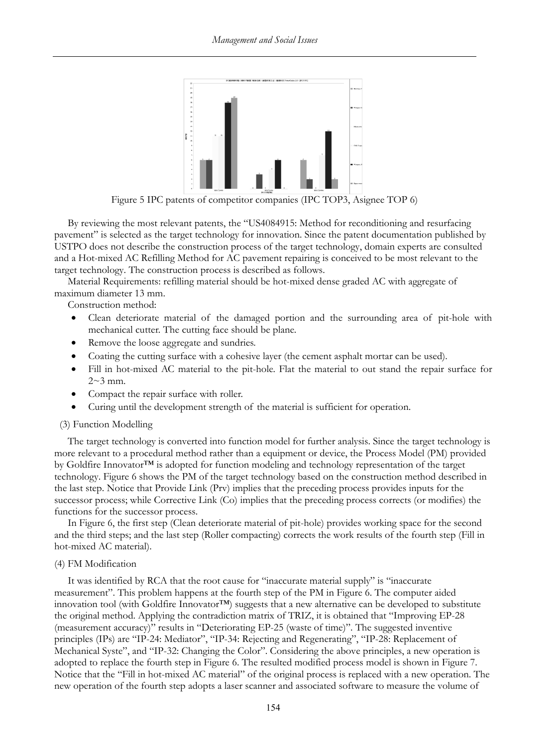![](_page_5_Figure_1.jpeg)

Figure 5 IPC patents of competitor companies (IPC TOP3, Asignee TOP 6)

By reviewing the most relevant patents, the "US4084915: Method for reconditioning and resurfacing pavement" is selected as the target technology for innovation. Since the patent documentation published by USTPO does not describe the construction process of the target technology, domain experts are consulted and a Hot-mixed AC Refilling Method for AC pavement repairing is conceived to be most relevant to the target technology. The construction process is described as follows.

Material Requirements: refilling material should be hot-mixed dense graded AC with aggregate of maximum diameter 13 mm.

Construction method:

- Clean deteriorate material of the damaged portion and the surrounding area of pit-hole with mechanical cutter. The cutting face should be plane.
- Remove the loose aggregate and sundries.
- Coating the cutting surface with a cohesive layer (the cement asphalt mortar can be used).
- Fill in hot-mixed AC material to the pit-hole. Flat the material to out stand the repair surface for  $2~\sim$ 3 mm.
- Compact the repair surface with roller.
- Curing until the development strength of the material is sufficient for operation.

# (3) Function Modelling

The target technology is converted into function model for further analysis. Since the target technology is more relevant to a procedural method rather than a equipment or device, the Process Model (PM) provided by Goldfire Innovator™ is adopted for function modeling and technology representation of the target technology. Figure 6 shows the PM of the target technology based on the construction method described in the last step. Notice that Provide Link (Prv) implies that the preceding process provides inputs for the successor process; while Corrective Link (Co) implies that the preceding process corrects (or modifies) the functions for the successor process.

In Figure 6, the first step (Clean deteriorate material of pit-hole) provides working space for the second and the third steps; and the last step (Roller compacting) corrects the work results of the fourth step (Fill in hot-mixed AC material).

# (4) FM Modification

It was identified by RCA that the root cause for "inaccurate material supply" is "inaccurate measurement". This problem happens at the fourth step of the PM in Figure 6. The computer aided innovation tool (with Goldfire Innovator™) suggests that a new alternative can be developed to substitute the original method. Applying the contradiction matrix of TRIZ, it is obtained that "Improving EP-28 (measurement accuracy)" results in "Deteriorating EP-25 (waste of time)". The suggested inventive principles (IPs) are "IP-24: Mediator", "IP-34: Rejecting and Regenerating", "IP-28: Replacement of Mechanical Syste", and "IP-32: Changing the Color". Considering the above principles, a new operation is adopted to replace the fourth step in Figure 6. The resulted modified process model is shown in Figure 7. Notice that the "Fill in hot-mixed AC material" of the original process is replaced with a new operation. The new operation of the fourth step adopts a laser scanner and associated software to measure the volume of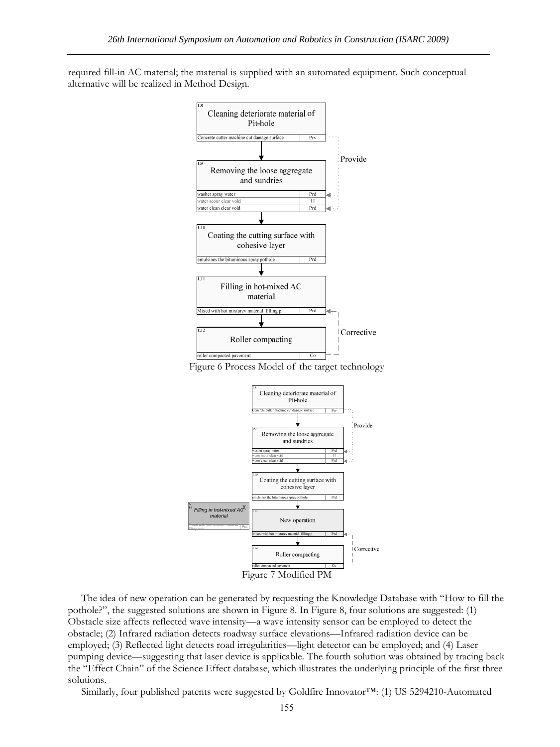required fill-in AC material; the material is supplied with an automated equipment. Such conceptual alternative will be realized in Method Design.

![](_page_6_Figure_2.jpeg)

![](_page_6_Figure_3.jpeg)

![](_page_6_Figure_4.jpeg)

The idea of new operation can be generated by requesting the Knowledge Database with "How to fill the pothole?", the suggested solutions are shown in Figure 8. In Figure 8, four solutions are suggested: (1) Obstacle size affects reflected wave intensity—a wave intensity sensor can be employed to detect the obstacle; (2) Infrared radiation detects roadway surface elevations—Infrared radiation device can be employed; (3) Reflected light detects road irregularities—light detector can be employed; and (4) Laser pumping device—suggesting that laser device is applicable. The fourth solution was obtained by tracing back the "Effect Chain" of the Science Effect database, which illustrates the underlying principle of the first three solutions.

Similarly, four published patents were suggested by Goldfire Innovator™: (1) US 5294210-Automated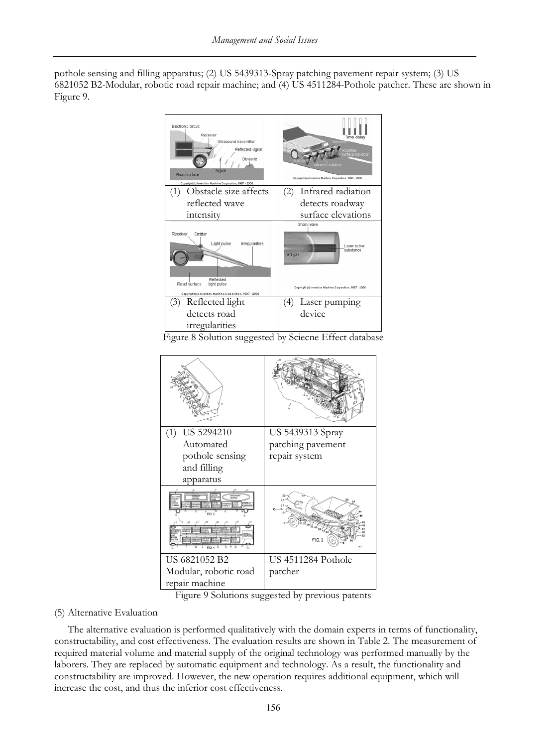pothole sensing and filling apparatus; (2) US 5439313-Spray patching pavement repair system; (3) US 6821052 B2-Modular, robotic road repair machine; and (4) US 4511284-Pothole patcher. These are shown in Figure 9.

![](_page_7_Figure_2.jpeg)

![](_page_7_Figure_3.jpeg)

Figure 9 Solutions suggested by previous patents

# (5) Alternative Evaluation

The alternative evaluation is performed qualitatively with the domain experts in terms of functionality, constructability, and cost effectiveness. The evaluation results are shown in Table 2. The measurement of required material volume and material supply of the original technology was performed manually by the laborers. They are replaced by automatic equipment and technology. As a result, the functionality and constructability are improved. However, the new operation requires additional equipment, which will increase the cost, and thus the inferior cost effectiveness.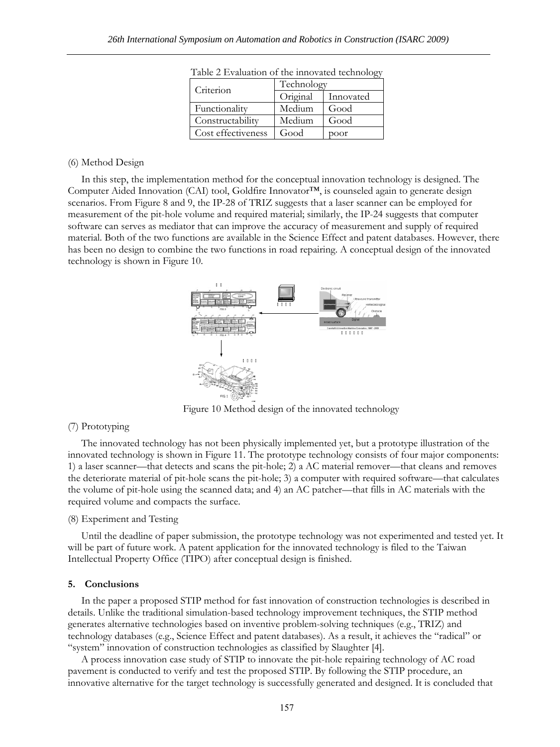| $\frac{1}{2}$ . The contract of $\frac{1}{2}$ |            |           |
|-----------------------------------------------|------------|-----------|
| Criterion                                     | Technology |           |
|                                               | Original   | Innovated |
| Functionality                                 | Medium     | Good      |
| Constructability                              | Medium     | Good      |
| Cost effectiveness                            | Good       | poor      |

Table 2 Evaluation of the innovated technology

#### (6) Method Design

In this step, the implementation method for the conceptual innovation technology is designed. The Computer Aided Innovation (CAI) tool, Goldfire Innovator™, is counseled again to generate design scenarios. From Figure 8 and 9, the IP-28 of TRIZ suggests that a laser scanner can be employed for measurement of the pit-hole volume and required material; similarly, the IP-24 suggests that computer software can serves as mediator that can improve the accuracy of measurement and supply of required material. Both of the two functions are available in the Science Effect and patent databases. However, there has been no design to combine the two functions in road repairing. A conceptual design of the innovated technology is shown in Figure 10.

![](_page_8_Figure_5.jpeg)

Figure 10 Method design of the innovated technology

# (7) Prototyping

The innovated technology has not been physically implemented yet, but a prototype illustration of the innovated technology is shown in Figure 11. The prototype technology consists of four major components: 1) a laser scanner—that detects and scans the pit-hole; 2) a AC material remover—that cleans and removes the deteriorate material of pit-hole scans the pit-hole; 3) a computer with required software—that calculates the volume of pit-hole using the scanned data; and 4) an AC patcher—that fills in AC materials with the required volume and compacts the surface.

# (8) Experiment and Testing

Until the deadline of paper submission, the prototype technology was not experimented and tested yet. It will be part of future work. A patent application for the innovated technology is filed to the Taiwan Intellectual Property Office (TIPO) after conceptual design is finished.

#### **5. Conclusions**

In the paper a proposed STIP method for fast innovation of construction technologies is described in details. Unlike the traditional simulation-based technology improvement techniques, the STIP method generates alternative technologies based on inventive problem-solving techniques (e.g., TRIZ) and technology databases (e.g., Science Effect and patent databases). As a result, it achieves the "radical" or "system" innovation of construction technologies as classified by Slaughter [4].

A process innovation case study of STIP to innovate the pit-hole repairing technology of AC road pavement is conducted to verify and test the proposed STIP. By following the STIP procedure, an innovative alternative for the target technology is successfully generated and designed. It is concluded that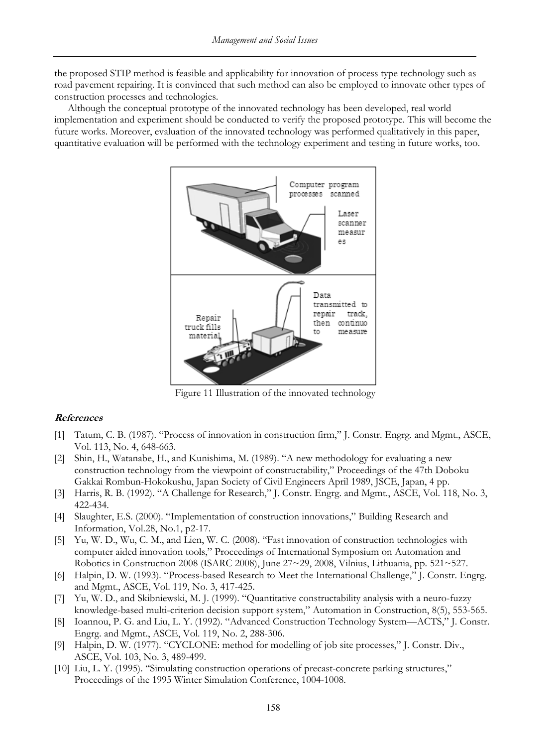the proposed STIP method is feasible and applicability for innovation of process type technology such as road pavement repairing. It is convinced that such method can also be employed to innovate other types of construction processes and technologies.

Although the conceptual prototype of the innovated technology has been developed, real world implementation and experiment should be conducted to verify the proposed prototype. This will become the future works. Moreover, evaluation of the innovated technology was performed qualitatively in this paper, quantitative evaluation will be performed with the technology experiment and testing in future works, too.

![](_page_9_Figure_3.jpeg)

Figure 11 Illustration of the innovated technology

# **References**

- [1] Tatum, C. B. (1987). "Process of innovation in construction firm," J. Constr. Engrg. and Mgmt., ASCE, Vol. 113, No. 4, 648-663.
- [2] Shin, H., Watanabe, H., and Kunishima, M. (1989). "A new methodology for evaluating a new construction technology from the viewpoint of constructability," Proceedings of the 47th Doboku Gakkai Rombun-Hokokushu, Japan Society of Civil Engineers April 1989, JSCE, Japan, 4 pp.
- [3] Harris, R. B. (1992). "A Challenge for Research," J. Constr. Engrg. and Mgmt., ASCE, Vol. 118, No. 3, 422-434.
- [4] Slaughter, E.S. (2000). "Implementation of construction innovations," Building Research and Information, Vol.28, No.1, p2-17.
- [5] Yu, W. D., Wu, C. M., and Lien, W. C. (2008). "Fast innovation of construction technologies with computer aided innovation tools," Proceedings of International Symposium on Automation and Robotics in Construction 2008 (ISARC 2008), June  $27 \sim 29$ , 2008, Vilnius, Lithuania, pp. 521 $\sim$ 527.
- [6] Halpin, D. W. (1993). "Process-based Research to Meet the International Challenge," J. Constr. Engrg. and Mgmt., ASCE, Vol. 119, No. 3, 417-425.
- [7] Yu, W. D., and Skibniewski, M. J. (1999). "Quantitative constructability analysis with a neuro-fuzzy knowledge-based multi-criterion decision support system," Automation in Construction, 8(5), 553-565.
- [8] Ioannou, P. G. and Liu, L. Y. (1992). "Advanced Construction Technology System—ACTS," J. Constr. Engrg. and Mgmt., ASCE, Vol. 119, No. 2, 288-306.
- [9] Halpin, D. W. (1977). "CYCLONE: method for modelling of job site processes," J. Constr. Div., ASCE, Vol. 103, No. 3, 489-499.
- [10] Liu, L. Y. (1995). "Simulating construction operations of precast-concrete parking structures," Proceedings of the 1995 Winter Simulation Conference, 1004-1008.